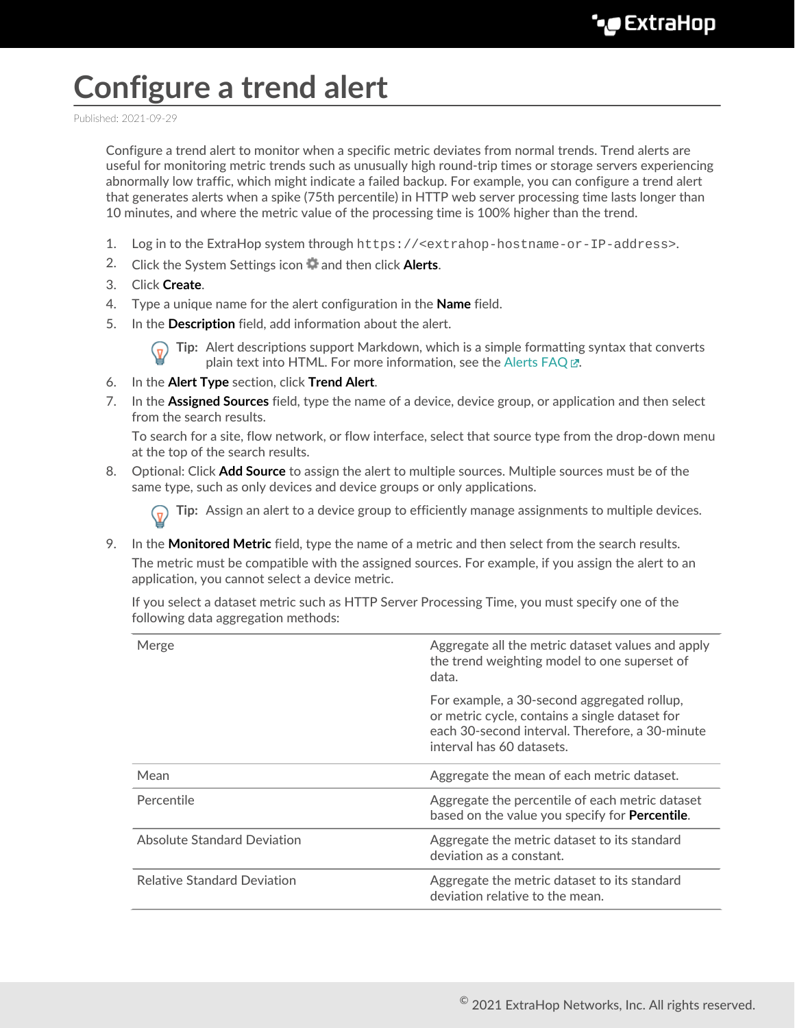## **Configure a trend alert**

Published: 2021-09-29

Configure a trend alert to monitor when a specific metric deviates from normal trends. Trend alerts are useful for monitoring metric trends such as unusually high round-trip times or storage servers experiencing abnormally low traffic, which might indicate a failed backup. For example, you can configure a trend alert that generates alerts when a spike (75th percentile) in HTTP web server processing time lasts longer than 10 minutes, and where the metric value of the processing time is 100% higher than the trend.

- 1. Log in to the ExtraHop system through https://<extrahop-hostname-or-IP-address>.
- 2. Click the System Settings icon **a** and then click **Alerts**.
- 3. Click **Create**.
- 4. Type a unique name for the alert configuration in the **Name** field.
- 5. In the **Description** field, add information about the alert.

**Tip:** Alert descriptions support Markdown, which is a simple formatting syntax that converts plain text into HTML. For more information, see the Alerts FAQ E.

- 6. In the **Alert Type** section, click **Trend Alert**.
- 7. In the **Assigned Sources** field, type the name of a device, device group, or application and then select from the search results.

To search for a site, flow network, or flow interface, select that source type from the drop-down menu at the top of the search results.

8. Optional: Click **Add Source** to assign the alert to multiple sources. Multiple sources must be of the same type, such as only devices and device groups or only applications.

**Tip:** Assign an alert to a device group to efficiently manage assignments to multiple devices.

9. In the **Monitored Metric** field, type the name of a metric and then select from the search results.

The metric must be compatible with the assigned sources. For example, if you assign the alert to an application, you cannot select a device metric.

If you select a dataset metric such as HTTP Server Processing Time, you must specify one of the following data aggregation methods:

| Merge                              | Aggregate all the metric dataset values and apply<br>the trend weighting model to one superset of<br>data.                                                                    |
|------------------------------------|-------------------------------------------------------------------------------------------------------------------------------------------------------------------------------|
|                                    | For example, a 30-second aggregated rollup,<br>or metric cycle, contains a single dataset for<br>each 30-second interval. Therefore, a 30-minute<br>interval has 60 datasets. |
| Mean                               | Aggregate the mean of each metric dataset.                                                                                                                                    |
| Percentile                         | Aggregate the percentile of each metric dataset<br>based on the value you specify for <b>Percentile</b> .                                                                     |
| Absolute Standard Deviation        | Aggregate the metric dataset to its standard<br>deviation as a constant.                                                                                                      |
| <b>Relative Standard Deviation</b> | Aggregate the metric dataset to its standard<br>deviation relative to the mean.                                                                                               |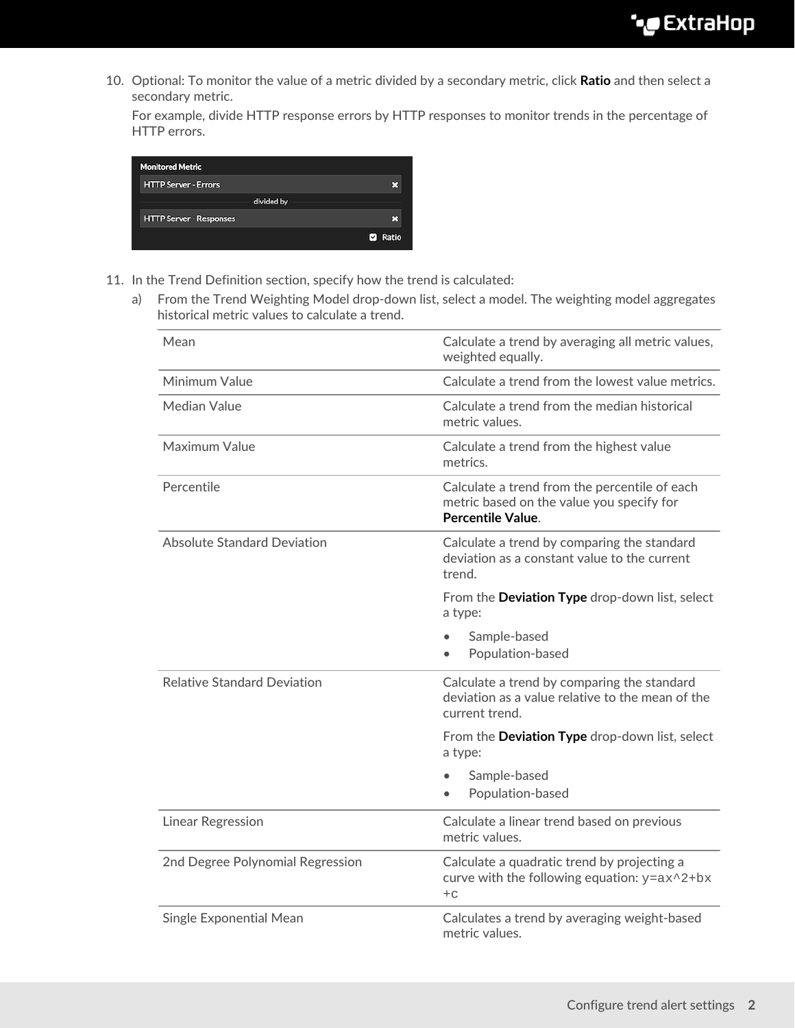10. Optional: To monitor the value of a metric divided by a secondary metric, click **Ratio** and then select a secondary metric.

For example, divide HTTP response errors by HTTP responses to monitor trends in the percentage of HTTP errors.

| <b>Monitored Metric</b>        |                |
|--------------------------------|----------------|
| <b>HTTP Server - Errors</b>    |                |
|                                | divided by     |
| <b>HTTP Server - Responses</b> |                |
|                                | <b>Z</b> Ratio |
|                                |                |

- 11. In the Trend Definition section, specify how the trend is calculated:
	- a) From the Trend Weighting Model drop-down list, select a model. The weighting model aggregates historical metric values to calculate a trend.

| Mean                               | Calculate a trend by averaging all metric values,<br>weighted equally.                                                 |  |
|------------------------------------|------------------------------------------------------------------------------------------------------------------------|--|
| Minimum Value                      | Calculate a trend from the lowest value metrics.                                                                       |  |
| <b>Median Value</b>                | Calculate a trend from the median historical<br>metric values.                                                         |  |
| Maximum Value                      | Calculate a trend from the highest value<br>metrics.                                                                   |  |
| Percentile                         | Calculate a trend from the percentile of each<br>metric based on the value you specify for<br><b>Percentile Value.</b> |  |
| <b>Absolute Standard Deviation</b> | Calculate a trend by comparing the standard<br>deviation as a constant value to the current<br>trend.                  |  |
|                                    | From the Deviation Type drop-down list, select<br>a type:                                                              |  |
|                                    | Sample-based<br>Population-based                                                                                       |  |
| <b>Relative Standard Deviation</b> | Calculate a trend by comparing the standard<br>deviation as a value relative to the mean of the<br>current trend.      |  |
|                                    | From the Deviation Type drop-down list, select<br>a type:                                                              |  |
|                                    | Sample-based<br>Population-based                                                                                       |  |
| <b>Linear Regression</b>           | Calculate a linear trend based on previous<br>metric values.                                                           |  |
| 2nd Degree Polynomial Regression   | Calculate a quadratic trend by projecting a<br>curve with the following equation: $y = ax^2 + bx$<br>$+C$              |  |
| <b>Single Exponential Mean</b>     | Calculates a trend by averaging weight-based<br>metric values.                                                         |  |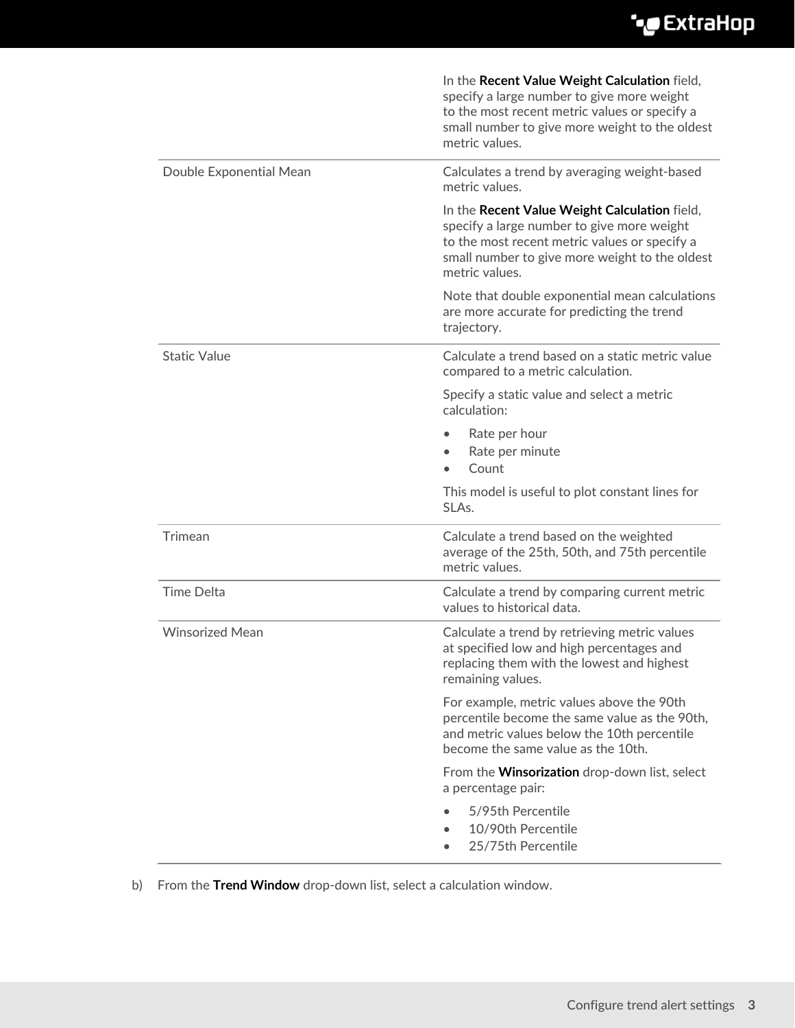## ExtraHop ہے-

|                         | In the Recent Value Weight Calculation field,<br>specify a large number to give more weight<br>to the most recent metric values or specify a<br>small number to give more weight to the oldest<br>metric values. |
|-------------------------|------------------------------------------------------------------------------------------------------------------------------------------------------------------------------------------------------------------|
| Double Exponential Mean | Calculates a trend by averaging weight-based<br>metric values.                                                                                                                                                   |
|                         | In the Recent Value Weight Calculation field,<br>specify a large number to give more weight<br>to the most recent metric values or specify a<br>small number to give more weight to the oldest<br>metric values. |
|                         | Note that double exponential mean calculations<br>are more accurate for predicting the trend<br>trajectory.                                                                                                      |
| <b>Static Value</b>     | Calculate a trend based on a static metric value<br>compared to a metric calculation.                                                                                                                            |
|                         | Specify a static value and select a metric<br>calculation:                                                                                                                                                       |
|                         | Rate per hour<br>Rate per minute<br>Count                                                                                                                                                                        |
|                         | This model is useful to plot constant lines for<br>SLAs.                                                                                                                                                         |
| Trimean                 | Calculate a trend based on the weighted<br>average of the 25th, 50th, and 75th percentile<br>metric values.                                                                                                      |
| <b>Time Delta</b>       | Calculate a trend by comparing current metric<br>values to historical data.                                                                                                                                      |
| <b>Winsorized Mean</b>  | Calculate a trend by retrieving metric values<br>at specified low and high percentages and<br>replacing them with the lowest and highest<br>remaining values.                                                    |
|                         | For example, metric values above the 90th<br>percentile become the same value as the 90th,<br>and metric values below the 10th percentile<br>become the same value as the 10th.                                  |
|                         | From the <b>Winsorization</b> drop-down list, select<br>a percentage pair:<br>5/95th Percentile<br>10/90th Percentile<br>25/75th Percentile<br>$\bullet$                                                         |

b) From the **Trend Window** drop-down list, select a calculation window.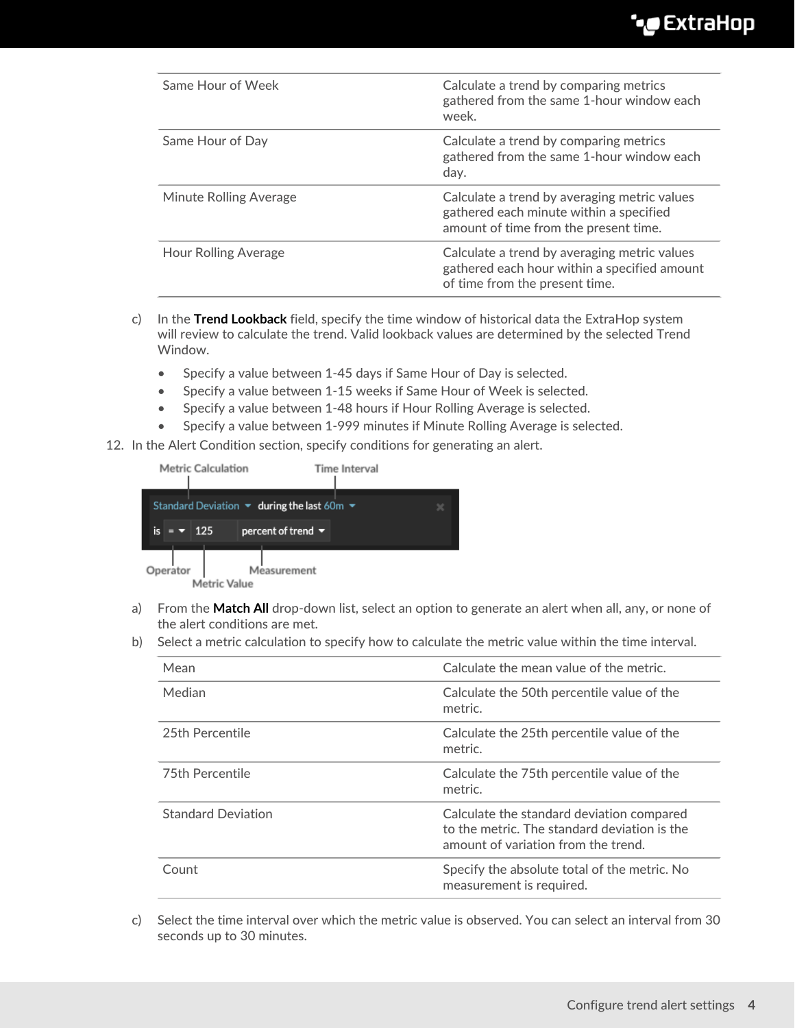| Same Hour of Week      | Calculate a trend by comparing metrics<br>gathered from the same 1-hour window each<br>week.                                     |
|------------------------|----------------------------------------------------------------------------------------------------------------------------------|
| Same Hour of Day       | Calculate a trend by comparing metrics<br>gathered from the same 1-hour window each<br>day.                                      |
| Minute Rolling Average | Calculate a trend by averaging metric values<br>gathered each minute within a specified<br>amount of time from the present time. |
| Hour Rolling Average   | Calculate a trend by averaging metric values<br>gathered each hour within a specified amount<br>of time from the present time.   |

- c) In the **Trend Lookback** field, specify the time window of historical data the ExtraHop system will review to calculate the trend. Valid lookback values are determined by the selected Trend Window.
	- Specify a value between 1-45 days if Same Hour of Day is selected.
	- Specify a value between 1-15 weeks if Same Hour of Week is selected.
	- Specify a value between 1-48 hours if Hour Rolling Average is selected.
	- Specify a value between 1-999 minutes if Minute Rolling Average is selected.
- 12. In the Alert Condition section, specify conditions for generating an alert.

|          | <b>Metric Calculation</b> | <b>Time Interval</b>                                                             |   |
|----------|---------------------------|----------------------------------------------------------------------------------|---|
|          |                           | Standard Deviation $\blacktriangledown$ during the last 60m $\blacktriangledown$ | × |
|          | 125                       | percent of trend $\blacktriangledown$                                            |   |
| Operator | Metric Value              | Measurement                                                                      |   |

- a) From the **Match All** drop-down list, select an option to generate an alert when all, any, or none of the alert conditions are met.
- b) Select a metric calculation to specify how to calculate the metric value within the time interval.

| Mean                      | Calculate the mean value of the metric.                                                                                          |
|---------------------------|----------------------------------------------------------------------------------------------------------------------------------|
| Median                    | Calculate the 50th percentile value of the<br>metric.                                                                            |
| 25th Percentile           | Calculate the 25th percentile value of the<br>metric.                                                                            |
| 75th Percentile           | Calculate the 75th percentile value of the<br>metric.                                                                            |
| <b>Standard Deviation</b> | Calculate the standard deviation compared<br>to the metric. The standard deviation is the<br>amount of variation from the trend. |
| Count                     | Specify the absolute total of the metric. No<br>measurement is required.                                                         |

c) Select the time interval over which the metric value is observed. You can select an interval from 30 seconds up to 30 minutes.